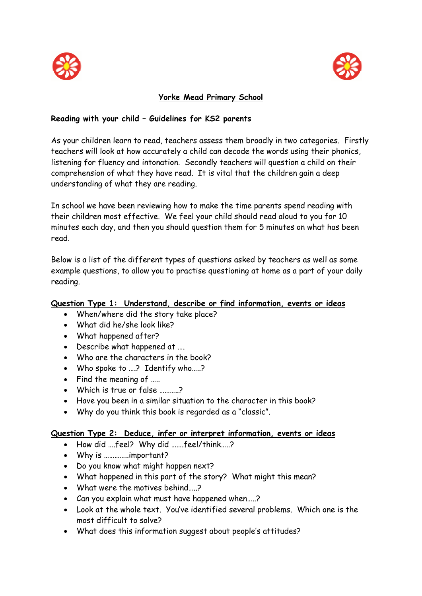



### **Yorke Mead Primary School**

#### **Reading with your child – Guidelines for KS2 parents**

As your children learn to read, teachers assess them broadly in two categories. Firstly teachers will look at how accurately a child can decode the words using their phonics, listening for fluency and intonation. Secondly teachers will question a child on their comprehension of what they have read. It is vital that the children gain a deep understanding of what they are reading.

In school we have been reviewing how to make the time parents spend reading with their children most effective. We feel your child should read aloud to you for 10 minutes each day, and then you should question them for 5 minutes on what has been read.

Below is a list of the different types of questions asked by teachers as well as some example questions, to allow you to practise questioning at home as a part of your daily reading.

#### **Question Type 1: Understand, describe or find information, events or ideas**

- When/where did the story take place?
- What did he/she look like?
- What happened after?
- Describe what happened at ….
- Who are the characters in the book?
- Who spoke to ....? Identify who.....?
- Find the meaning of …..
- Which is true or false ………..?
- Have you been in a similar situation to the character in this book?
- Why do you think this book is regarded as a "classic".

#### **Question Type 2: Deduce, infer or interpret information, events or ideas**

- How did ….feel? Why did …….feel/think…..?
- Why is …………..important?
- Do you know what might happen next?
- What happened in this part of the story? What might this mean?
- What were the motives behind.....?
- Can you explain what must have happened when…..?
- Look at the whole text. You've identified several problems. Which one is the most difficult to solve?
- What does this information suggest about people's attitudes?